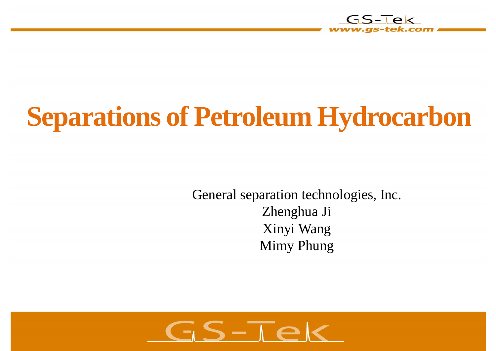

# **Separations of Petroleum Hydrocarbon**

General separation technologies, Inc. Zhenghua Ji Xinyi Wang Mimy Phung

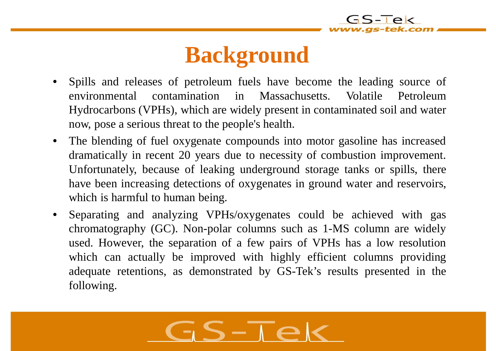### **Background**

- Spills and releases of petroleum fuels have become the leading source of environmental contamination in Massachusetts. Volatile Petroleum Hydrocarbons (VPHs), which are widely present in contaminated soil and water now, pose a serious threat to the people's health.
- The blending of fuel oxygenate compounds into motor gasoline has increased dramatically in recent 20 years due to necessity of combustion improvement. Unfortunately, because of leaking underground storage tanks or spills, there have been increasing detections of oxygenates in ground water and reservoirs, which is harmful to human being.
- Separating and analyzing VPHs/oxygenates could be achieved with gas chromatography (GC). Non-polar columns such as 1-MS column are widely used. However, the separation of a few pairs of VPHs has a low resolution which can actually be improved with highly efficient columns providing adequate retentions, as demonstrated by GS-Tek's results presented in the following.

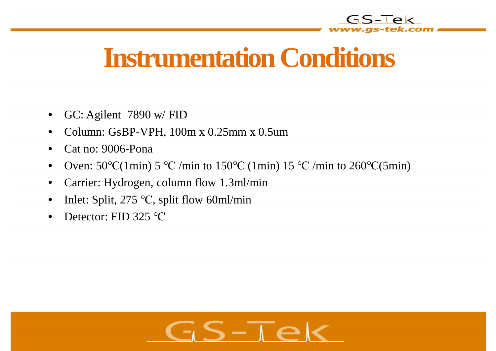

# **Instrumentation Conditions**

- GC: Agilent 7890 w/ FID
- Column: GsBP-VPH, 100m x 0.25mm x 0.5um
- Cat no: 9006-Pona
- Oven:  $50^{\circ}C(1\text{min})$  5 °C /min to  $150^{\circ}C(1\text{min})$  15 °C /min to  $260^{\circ}C(5\text{min})$
- Carrier: Hydrogen, column flow 1.3ml/min
- Inlet: Split,  $275 \text{ °C}$ , split flow 60ml/min
- Detector:  $FID$  325 °C

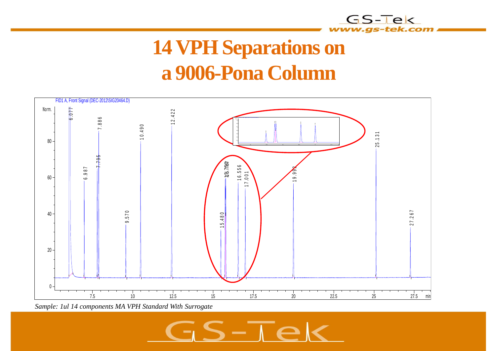

#### **14 VPH Separations on a 9006-Pona Column**



*Sample: 1ul 14 components MA VPH Standard With Surrogate*

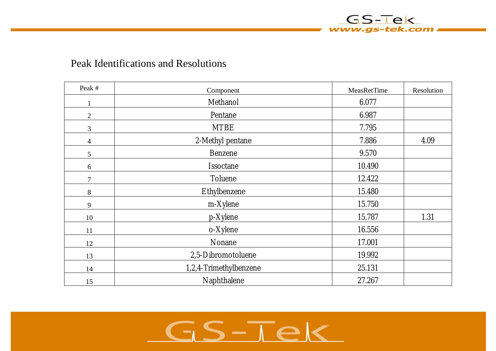

| Peak #         | Component              | <b>MeasRetTime</b> | Resolution |
|----------------|------------------------|--------------------|------------|
| 1              | Methanol               | 6.077              |            |
| $\overline{2}$ | Pentane                | 6.987              |            |
| 3              | <b>MTBE</b>            | 7.795              |            |
| $\overline{4}$ | 2-Methyl pentane       | 7.886              | 4.09       |
| 5              | <b>Benzene</b>         | 9.570              |            |
| 6              | Issoctane              | 10.490             |            |
| 7              | Toluene                | 12.422             |            |
| 8              | Ethylbenzene           | 15.480             |            |
| 9              | m-Xylene               | 15.750             |            |
| 10             | p-Xylene               | 15.787             | 1.31       |
| 11             | o-Xylene               | 16.556             |            |
| 12             | Nonane                 | 17.001             |            |
| 13             | 2,5-Dibromotoluene     | 19.992             |            |
| 14             | 1,2,4-Trimethylbenzene | 25.131             |            |
| 15             | Naphthalene            | 27.267             |            |

GS-Tek www.gs-tek.com

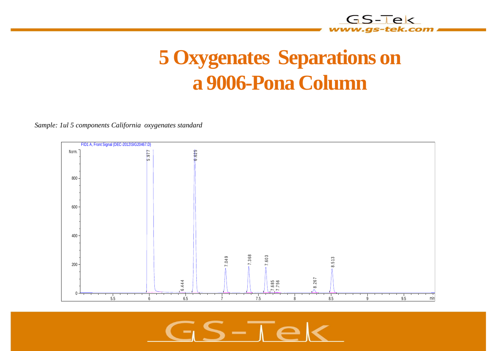#### **5 Oxygenates Separations on a 9006-Pona Column**

*Sample: 1ul 5 components California oxygenates standard*



 $S-\overline{\Lambda}e$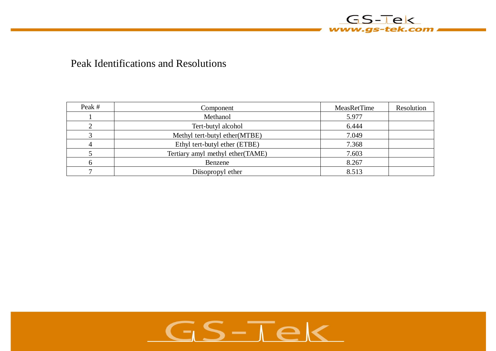

#### Peak Identifications and Resolutions

| Peak # | Component                         | MeasRetTime | Resolution |
|--------|-----------------------------------|-------------|------------|
|        | Methanol                          | 5.977       |            |
|        | Tert-butyl alcohol                | 6.444       |            |
|        | Methyl tert-butyl ether(MTBE)     | 7.049       |            |
| 4      | Ethyl tert-butyl ether (ETBE)     | 7.368       |            |
|        | Tertiary amyl methyl ether (TAME) | 7.603       |            |
| 6      | Benzene                           | 8.267       |            |
|        | Diisopropyl ether                 | 8.513       |            |